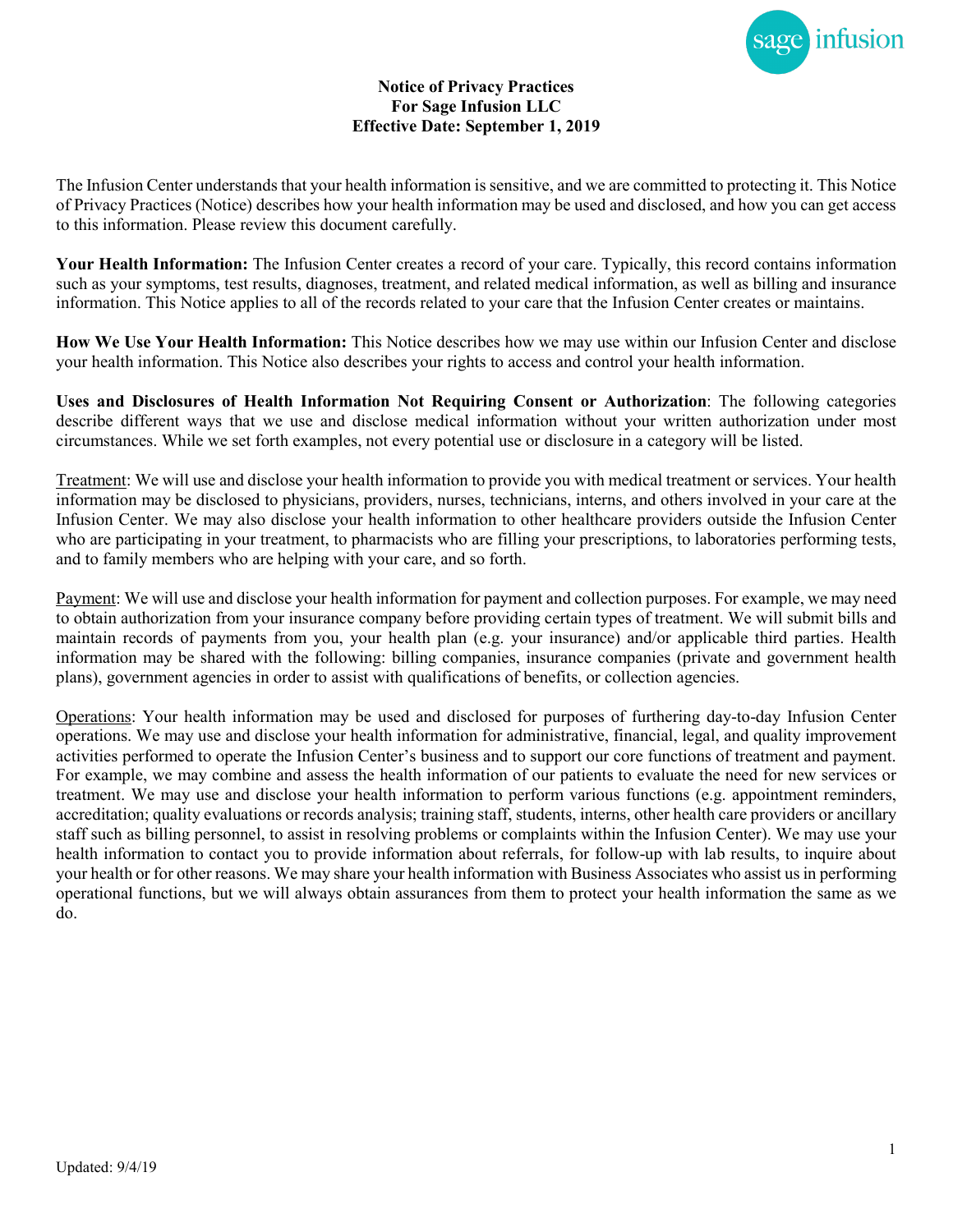

## **Notice of Privacy Practices For Sage Infusion LLC Effective Date: September 1, 2019**

The Infusion Center understands that your health information is sensitive, and we are committed to protecting it. This Notice of Privacy Practices (Notice) describes how your health information may be used and disclosed, and how you can get access to this information. Please review this document carefully.

**Your Health Information:** The Infusion Center creates a record of your care. Typically, this record contains information such as your symptoms, test results, diagnoses, treatment, and related medical information, as well as billing and insurance information. This Notice applies to all of the records related to your care that the Infusion Center creates or maintains.

**How We Use Your Health Information:** This Notice describes how we may use within our Infusion Center and disclose your health information. This Notice also describes your rights to access and control your health information.

**Uses and Disclosures of Health Information Not Requiring Consent or Authorization**: The following categories describe different ways that we use and disclose medical information without your written authorization under most circumstances. While we set forth examples, not every potential use or disclosure in a category will be listed.

Treatment: We will use and disclose your health information to provide you with medical treatment or services. Your health information may be disclosed to physicians, providers, nurses, technicians, interns, and others involved in your care at the Infusion Center. We may also disclose your health information to other healthcare providers outside the Infusion Center who are participating in your treatment, to pharmacists who are filling your prescriptions, to laboratories performing tests, and to family members who are helping with your care, and so forth.

Payment: We will use and disclose your health information for payment and collection purposes. For example, we may need to obtain authorization from your insurance company before providing certain types of treatment. We will submit bills and maintain records of payments from you, your health plan (e.g. your insurance) and/or applicable third parties. Health information may be shared with the following: billing companies, insurance companies (private and government health plans), government agencies in order to assist with qualifications of benefits, or collection agencies.

Operations: Your health information may be used and disclosed for purposes of furthering day-to-day Infusion Center operations. We may use and disclose your health information for administrative, financial, legal, and quality improvement activities performed to operate the Infusion Center's business and to support our core functions of treatment and payment. For example, we may combine and assess the health information of our patients to evaluate the need for new services or treatment. We may use and disclose your health information to perform various functions (e.g. appointment reminders, accreditation; quality evaluations or records analysis; training staff, students, interns, other health care providers or ancillary staff such as billing personnel, to assist in resolving problems or complaints within the Infusion Center). We may use your health information to contact you to provide information about referrals, for follow-up with lab results, to inquire about your health or for other reasons. We may share your health information with Business Associates who assist us in performing operational functions, but we will always obtain assurances from them to protect your health information the same as we do.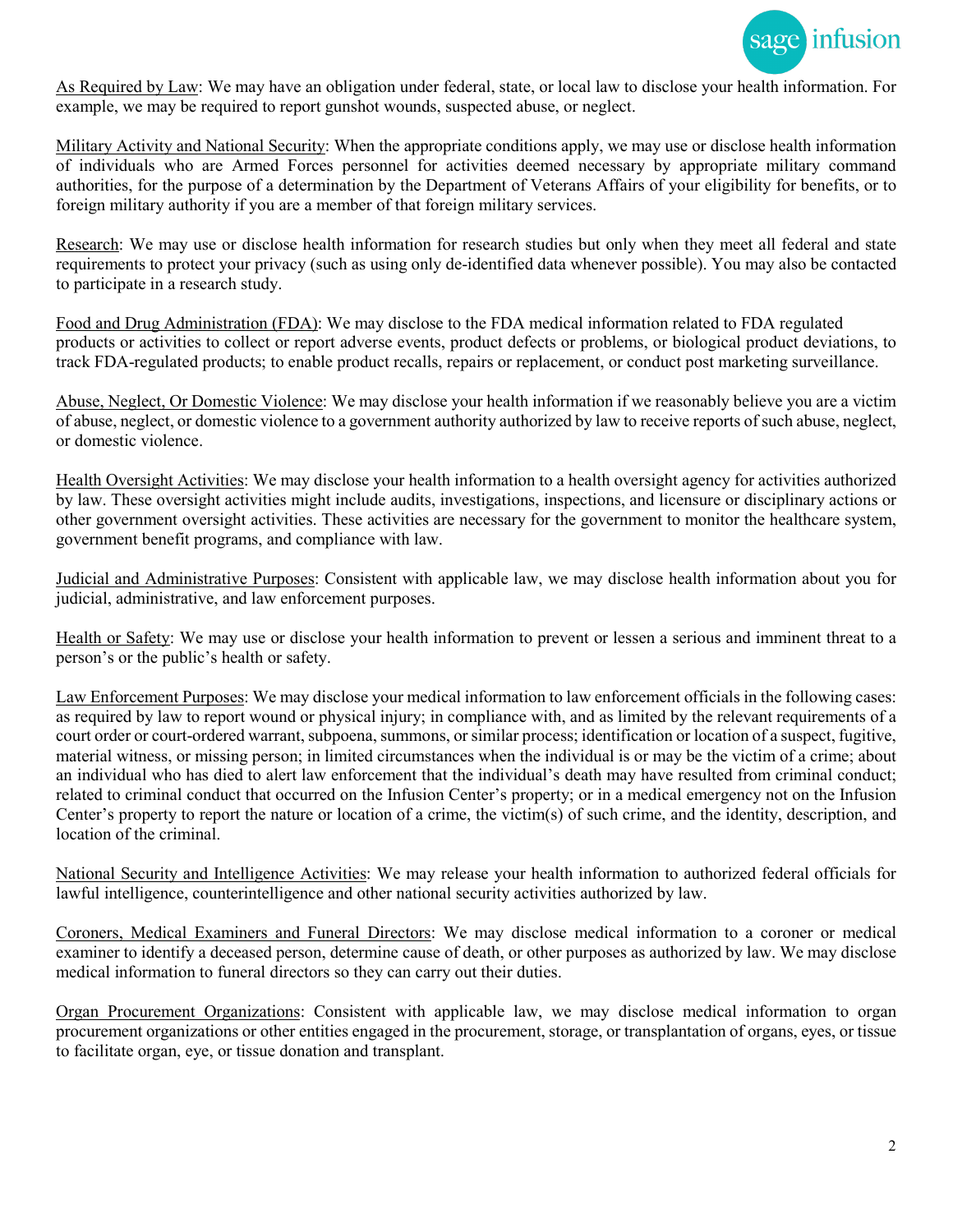

As Required by Law: We may have an obligation under federal, state, or local law to disclose your health information. For example, we may be required to report gunshot wounds, suspected abuse, or neglect.

Military Activity and National Security: When the appropriate conditions apply, we may use or disclose health information of individuals who are Armed Forces personnel for activities deemed necessary by appropriate military command authorities, for the purpose of a determination by the Department of Veterans Affairs of your eligibility for benefits, or to foreign military authority if you are a member of that foreign military services.

Research: We may use or disclose health information for research studies but only when they meet all federal and state requirements to protect your privacy (such as using only de-identified data whenever possible). You may also be contacted to participate in a research study.

Food and Drug Administration (FDA): We may disclose to the FDA medical information related to FDA regulated products or activities to collect or report adverse events, product defects or problems, or biological product deviations, to track FDA-regulated products; to enable product recalls, repairs or replacement, or conduct post marketing surveillance.

Abuse, Neglect, Or Domestic Violence: We may disclose your health information if we reasonably believe you are a victim of abuse, neglect, or domestic violence to a government authority authorized by law to receive reports of such abuse, neglect, or domestic violence.

Health Oversight Activities: We may disclose your health information to a health oversight agency for activities authorized by law. These oversight activities might include audits, investigations, inspections, and licensure or disciplinary actions or other government oversight activities. These activities are necessary for the government to monitor the healthcare system, government benefit programs, and compliance with law.

Judicial and Administrative Purposes: Consistent with applicable law, we may disclose health information about you for judicial, administrative, and law enforcement purposes.

Health or Safety: We may use or disclose your health information to prevent or lessen a serious and imminent threat to a person's or the public's health or safety.

Law Enforcement Purposes: We may disclose your medical information to law enforcement officials in the following cases: as required by law to report wound or physical injury; in compliance with, and as limited by the relevant requirements of a court order or court-ordered warrant, subpoena, summons, or similar process; identification or location of a suspect, fugitive, material witness, or missing person; in limited circumstances when the individual is or may be the victim of a crime; about an individual who has died to alert law enforcement that the individual's death may have resulted from criminal conduct; related to criminal conduct that occurred on the Infusion Center's property; or in a medical emergency not on the Infusion Center's property to report the nature or location of a crime, the victim(s) of such crime, and the identity, description, and location of the criminal.

National Security and Intelligence Activities: We may release your health information to authorized federal officials for lawful intelligence, counterintelligence and other national security activities authorized by law.

Coroners, Medical Examiners and Funeral Directors: We may disclose medical information to a coroner or medical examiner to identify a deceased person, determine cause of death, or other purposes as authorized by law. We may disclose medical information to funeral directors so they can carry out their duties.

Organ Procurement Organizations: Consistent with applicable law, we may disclose medical information to organ procurement organizations or other entities engaged in the procurement, storage, or transplantation of organs, eyes, or tissue to facilitate organ, eye, or tissue donation and transplant.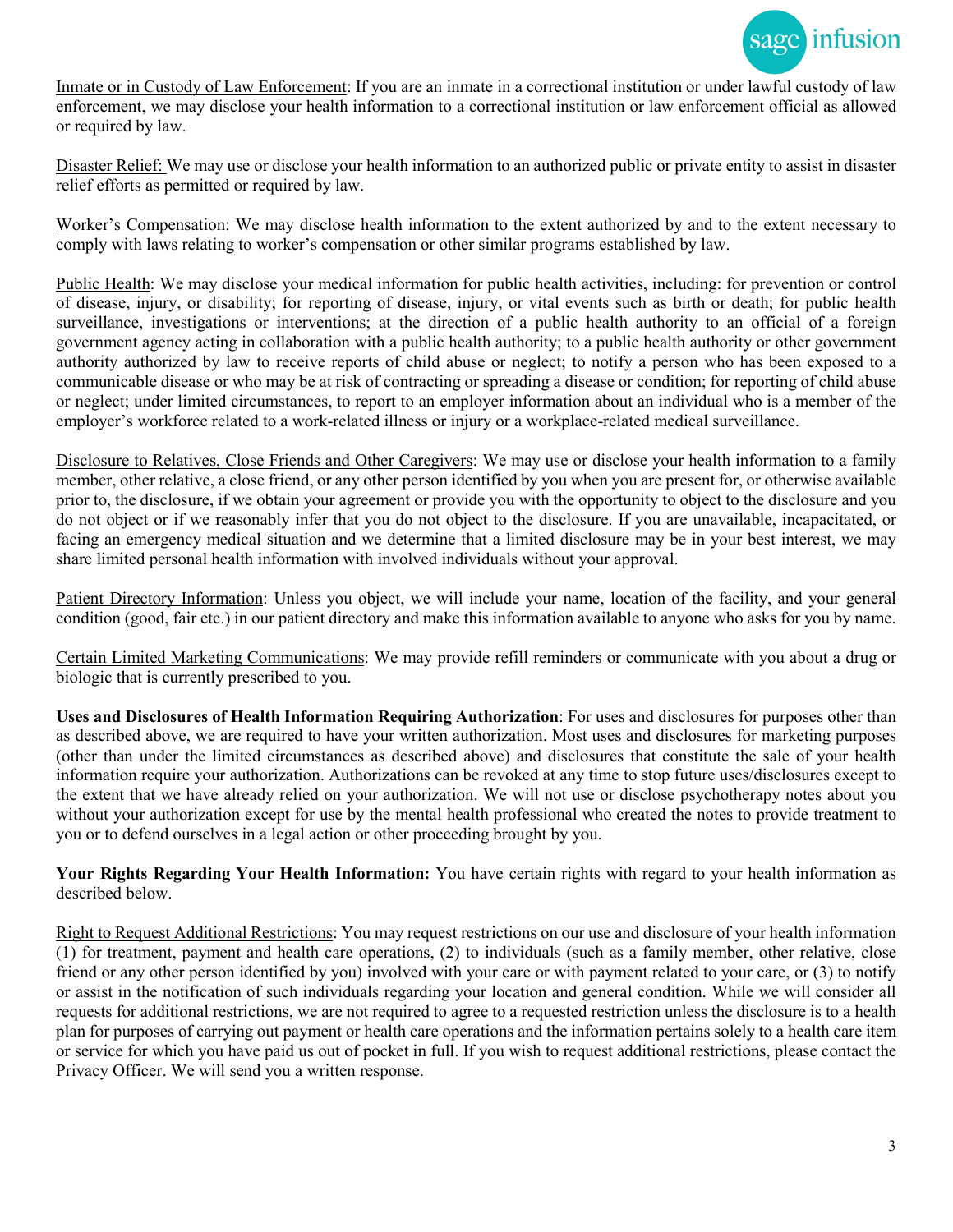

Inmate or in Custody of Law Enforcement: If you are an inmate in a correctional institution or under lawful custody of law enforcement, we may disclose your health information to a correctional institution or law enforcement official as allowed or required by law.

Disaster Relief: We may use or disclose your health information to an authorized public or private entity to assist in disaster relief efforts as permitted or required by law.

Worker's Compensation: We may disclose health information to the extent authorized by and to the extent necessary to comply with laws relating to worker's compensation or other similar programs established by law.

Public Health: We may disclose your medical information for public health activities, including: for prevention or control of disease, injury, or disability; for reporting of disease, injury, or vital events such as birth or death; for public health surveillance, investigations or interventions; at the direction of a public health authority to an official of a foreign government agency acting in collaboration with a public health authority; to a public health authority or other government authority authorized by law to receive reports of child abuse or neglect; to notify a person who has been exposed to a communicable disease or who may be at risk of contracting or spreading a disease or condition; for reporting of child abuse or neglect; under limited circumstances, to report to an employer information about an individual who is a member of the employer's workforce related to a work-related illness or injury or a workplace-related medical surveillance.

Disclosure to Relatives, Close Friends and Other Caregivers: We may use or disclose your health information to a family member, other relative, a close friend, or any other person identified by you when you are present for, or otherwise available prior to, the disclosure, if we obtain your agreement or provide you with the opportunity to object to the disclosure and you do not object or if we reasonably infer that you do not object to the disclosure. If you are unavailable, incapacitated, or facing an emergency medical situation and we determine that a limited disclosure may be in your best interest, we may share limited personal health information with involved individuals without your approval.

Patient Directory Information: Unless you object, we will include your name, location of the facility, and your general condition (good, fair etc.) in our patient directory and make this information available to anyone who asks for you by name.

Certain Limited Marketing Communications: We may provide refill reminders or communicate with you about a drug or biologic that is currently prescribed to you.

**Uses and Disclosures of Health Information Requiring Authorization**: For uses and disclosures for purposes other than as described above, we are required to have your written authorization. Most uses and disclosures for marketing purposes (other than under the limited circumstances as described above) and disclosures that constitute the sale of your health information require your authorization. Authorizations can be revoked at any time to stop future uses/disclosures except to the extent that we have already relied on your authorization. We will not use or disclose psychotherapy notes about you without your authorization except for use by the mental health professional who created the notes to provide treatment to you or to defend ourselves in a legal action or other proceeding brought by you.

**Your Rights Regarding Your Health Information:** You have certain rights with regard to your health information as described below.

Right to Request Additional Restrictions: You may request restrictions on our use and disclosure of your health information (1) for treatment, payment and health care operations, (2) to individuals (such as a family member, other relative, close friend or any other person identified by you) involved with your care or with payment related to your care, or (3) to notify or assist in the notification of such individuals regarding your location and general condition. While we will consider all requests for additional restrictions, we are not required to agree to a requested restriction unless the disclosure is to a health plan for purposes of carrying out payment or health care operations and the information pertains solely to a health care item or service for which you have paid us out of pocket in full. If you wish to request additional restrictions, please contact the Privacy Officer. We will send you a written response.